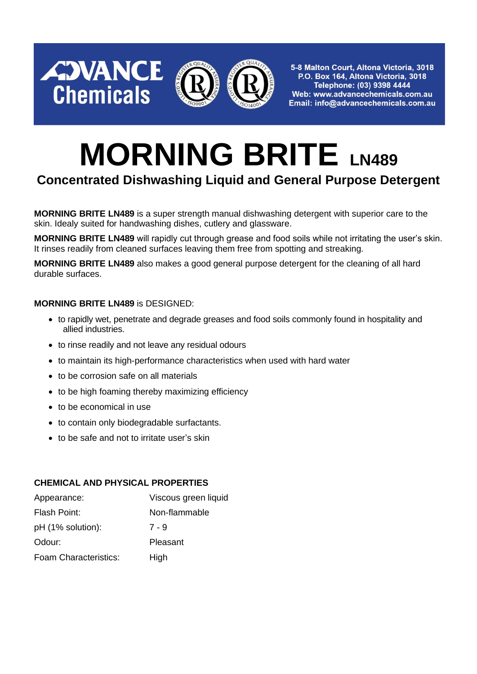

5-8 Malton Court, Altona Victoria, 3018 P.O. Box 164, Altona Victoria, 3018 Telephone: (03) 9398 4444 Web: www.advancechemicals.com.au Email: info@advancechemicals.com.au

# **MORNING BRITE LN489**

# **Concentrated Dishwashing Liquid and General Purpose Detergent**

**MORNING BRITE LN489** is a super strength manual dishwashing detergent with superior care to the skin. Idealy suited for handwashing dishes, cutlery and glassware.

**MORNING BRITE LN489** will rapidly cut through grease and food soils while not irritating the user's skin. It rinses readily from cleaned surfaces leaving them free from spotting and streaking.

**MORNING BRITE LN489** also makes a good general purpose detergent for the cleaning of all hard durable surfaces.

#### **MORNING BRITE LN489** is DESIGNED:

AJVANCE

**Chemicals** 

- to rapidly wet, penetrate and degrade greases and food soils commonly found in hospitality and allied industries.
- to rinse readily and not leave any residual odours
- to maintain its high-performance characteristics when used with hard water
- to be corrosion safe on all materials
- to be high foaming thereby maximizing efficiency
- to be economical in use
- to contain only biodegradable surfactants.
- to be safe and not to irritate user's skin

#### **CHEMICAL AND PHYSICAL PROPERTIES**

| Appearance:           | Viscous green liquid |
|-----------------------|----------------------|
| Flash Point:          | Non-flammable        |
| pH (1% solution):     | 7 - 9                |
| Odour:                | Pleasant             |
| Foam Characteristics: | High                 |